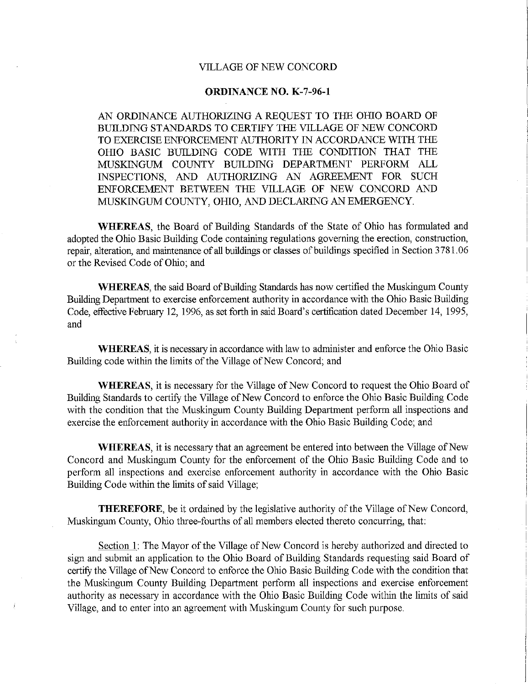## VILLAGE OF NEW CONCORD

## **ORDINANCE NO. K-7-96-1**

AN ORDINANCE AUTHORIZING A REQUEST TO THE OHIO BOARD OF BUILDING STANDARDS TO CERTIFY THE VILLAGE OF NEW CONCORD TO EXERCISE ENFORCEMENT AUTHORITY IN ACCORDANCE WITH THE omo BASIC BUILDING CODE WITH THE CONDITION THAT THE MUSKINGUM COUNTY BUILDING DEPARTMENT PERFORM ALL INSPECTIONS, AND AUTHORIZING AN AGREEMENT FOR SUCH ENFORCEMENT BETWEEN THE VILLAGE OF NEW CONCORD AND MUSKINGUM COUNTY, OHIO, AND DECLARING AN EMERGENCY.

**WHEREAS,** the Board of Building Standards of the State of Ohio has formulated and adopted the Ohio Basic Building Code containing regulations governing the erection, construction, repair, alteration, and maintenance of all buildings or classes of buildings specified in Section 3781.06 or the Revised Code of Ohio; and

**WHEREAS,** the said Board of Building Standards has now certified the Muskingum County Building Department to exercise enforcement authority in accordance with the Ohio Basic Building Code, effective February 12, 1996, as set forth in said Board's certification dated December 14, 1995, and

**WHEREAS,** it is necessary in accordance with law to administer and enforce the Ohio Basic Building code within the limits of the Village of New Concord; and

**WHEREAS,** it is necessary for the Village of New Concord to request the Ohio Board of Building Standards to certify the Village of New Concord to enforce the Ohio Basic Building Code with the condition that the Muskingum County Building Department perform all inspections and exercise the enforcement authority in accordance with the Ohio Basic Building Code; and

**WHEREAS,** it is necessary that an agreement be entered into between the Village of New Concord and Muskingum County for the enforcement of the Ohio Basic Building Code and to perform all inspections and exercise enforcement authority in accordance with the Ohio Basic Building Code within the limits of said Village;

**THEREFORE,** be it ordained by the legislative authority of the Village of New Concord, Muskingum County, Ohio three-fourths of all members elected thereto concurring, that:

Section 1: The Mayor of the Village of New Concord is hereby authorized and directed to sign and submit an application to the Ohio Board of Building Standards requesting said Board of certify the Village of New Concord to enforce the Ohio Basic Building Code with the condition that the Muskingum County Building Department perform all inspections and exercise enforcement authority as necessary in accordance with the Ohio Basic Building Code within the limits of said Village, and to enter into an agreement with Muskingum County for such purpose.